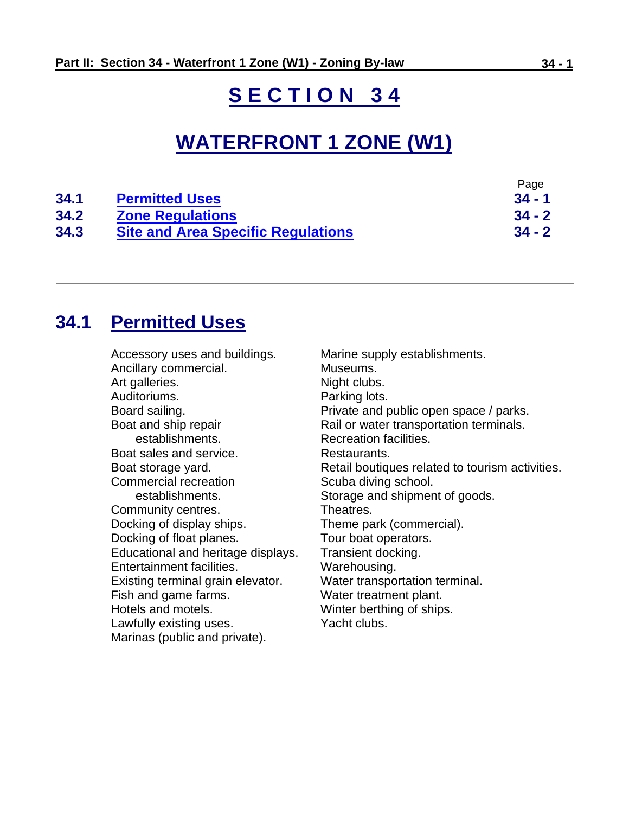# **S E C T I O N 3 4**

# **WATERFRONT 1 ZONE (W1)**

|      |                                           | Page     |
|------|-------------------------------------------|----------|
| 34.1 | <b>Permitted Uses</b>                     | $34 - 1$ |
| 34.2 | <b>Zone Regulations</b>                   | $34 - 2$ |
| 34.3 | <b>Site and Area Specific Regulations</b> | $34 - 2$ |

# <span id="page-0-0"></span>**34.1 Permitted Uses**

| Accessory uses and buildings.      | Marine supply establishments.                   |
|------------------------------------|-------------------------------------------------|
| Ancillary commercial.              | Museums.                                        |
| Art galleries.                     | Night clubs.                                    |
| Auditoriums.                       | Parking lots.                                   |
| Board sailing.                     | Private and public open space / parks.          |
| Boat and ship repair               | Rail or water transportation terminals.         |
| establishments.                    | Recreation facilities.                          |
| Boat sales and service.            | Restaurants.                                    |
| Boat storage yard.                 | Retail boutiques related to tourism activities. |
| Commercial recreation              | Scuba diving school.                            |
| establishments.                    | Storage and shipment of goods.                  |
| Community centres.                 | Theatres.                                       |
| Docking of display ships.          | Theme park (commercial).                        |
| Docking of float planes.           | Tour boat operators.                            |
| Educational and heritage displays. | Transient docking.                              |
| Entertainment facilities.          | Warehousing.                                    |
| Existing terminal grain elevator.  | Water transportation terminal.                  |
| Fish and game farms.               | Water treatment plant.                          |
| Hotels and motels.                 | Winter berthing of ships.                       |
| Lawfully existing uses.            | Yacht clubs.                                    |
| Marinas (public and private).      |                                                 |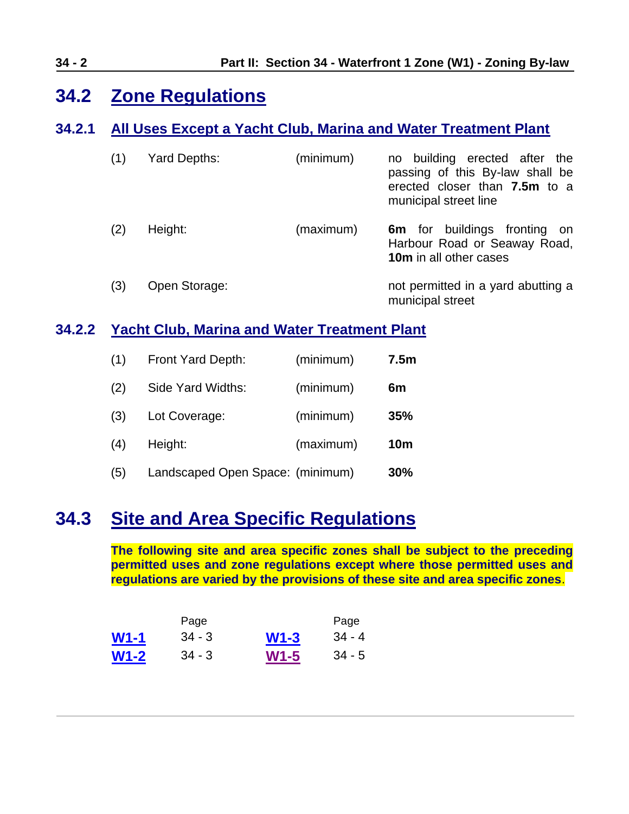# <span id="page-1-0"></span>**34.2 Zone Regulations**

## **34.2.1 All Uses Except a Yacht Club, Marina and Water Treatment Plant**

| (1) | Yard Depths:  | (minimum) | no building erected after the<br>passing of this By-law shall be<br>erected closer than 7.5m to a<br>municipal street line |
|-----|---------------|-----------|----------------------------------------------------------------------------------------------------------------------------|
| (2) | Height:       | (maximum) | <b>6m</b> for buildings fronting on<br>Harbour Road or Seaway Road,<br>10m in all other cases                              |
| (3) | Open Storage: |           | not permitted in a yard abutting a<br>municipal street                                                                     |

## **34.2.2 Yacht Club, Marina and Water Treatment Plant**

| (1) | Front Yard Depth:                | (minimum) | 7.5 <sub>m</sub> |
|-----|----------------------------------|-----------|------------------|
| (2) | Side Yard Widths:                | (minimum) | 6m               |
| (3) | Lot Coverage:                    | (minimum) | 35%              |
| (4) | Height:                          | (maximum) | <b>10m</b>       |
| (5) | Landscaped Open Space: (minimum) |           | 30%              |

# <span id="page-1-1"></span>**34.3 Site and Area Specific Regulations**

**The following site and area specific zones shall be subject to the preceding permitted uses and zone regulations except where those permitted uses and regulations are varied by the provisions of these site and area specific zones**.

|             | Page     |        | Page      |
|-------------|----------|--------|-----------|
| $W1-1$      | $34 - 3$ | $W1-3$ | $.34 - 4$ |
| <b>W1-2</b> | $34 - 3$ | $W1-5$ | $34 - 5$  |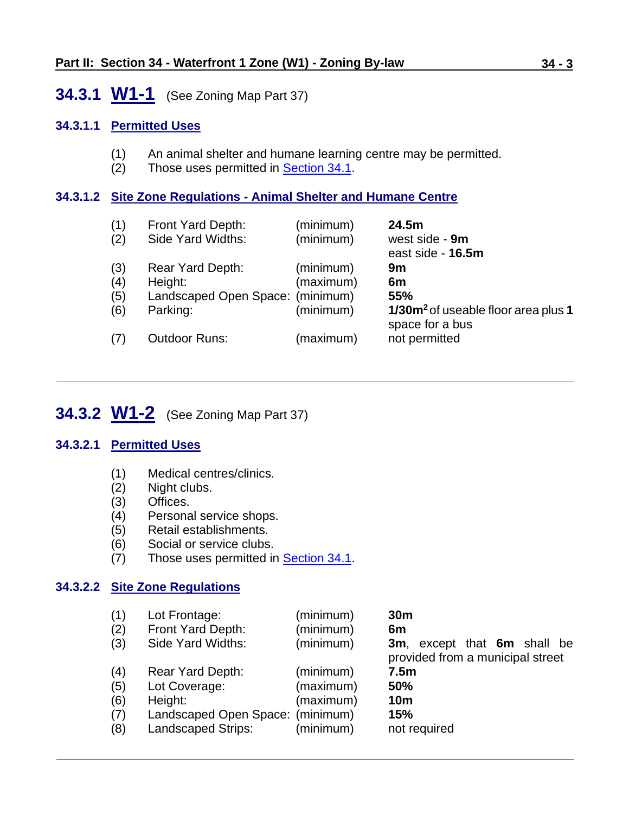## <span id="page-2-0"></span>**34.3.1 W1-1** (See Zoning Map Part 37)

#### **34.3.1.1 Permitted Uses**

- (1) An animal shelter and humane learning centre may be permitted.
- (2) Those uses permitted in [Section 34.1.](#page-0-0)

#### **34.3.1.2 Site Zone Regulations - Animal Shelter and Humane Centre**

| (1)<br>(2)               | Front Yard Depth:<br>Side Yard Widths:                                      | (minimum)<br>(minimum)              | 24.5m<br>west side - 9m<br>east side - 16.5m                                          |
|--------------------------|-----------------------------------------------------------------------------|-------------------------------------|---------------------------------------------------------------------------------------|
| (3)<br>(4)<br>(5)<br>(6) | Rear Yard Depth:<br>Height:<br>Landscaped Open Space: (minimum)<br>Parking: | (minimum)<br>(maximum)<br>(minimum) | 9m<br>6m<br>55%<br>1/30m <sup>2</sup> of useable floor area plus 1<br>space for a bus |
| (7)                      | <b>Outdoor Runs:</b>                                                        | (maximum)                           | not permitted                                                                         |

# <span id="page-2-1"></span>**34.3.2 W1-2** (See Zoning Map Part 37)

#### **34.3.2.1 Permitted Uses**

- (1) Medical centres/clinics.
- (2) Night clubs.
- (3) Offices.
- (4) Personal service shops.
- (5) Retail establishments.
- (6) Social or service clubs.
- (7) Those uses permitted in **Section 34.1**.

#### **34.3.2.2 Site Zone Regulations**

| (1)<br>(2)<br>(3)        | Lot Frontage:<br>Front Yard Depth:<br>Side Yard Widths:                          | (minimum)<br>(minimum)<br>(minimum) | 30 <sub>m</sub><br>6m<br>3m, except that 6m shall be<br>provided from a municipal street |
|--------------------------|----------------------------------------------------------------------------------|-------------------------------------|------------------------------------------------------------------------------------------|
| (4)<br>(5)<br>(6)<br>(7) | Rear Yard Depth:<br>Lot Coverage:<br>Height:<br>Landscaped Open Space: (minimum) | (minimum)<br>(maximum)<br>(maximum) | 7.5 <sub>m</sub><br>50%<br>10 <sub>m</sub><br>15%                                        |
| (8)                      | <b>Landscaped Strips:</b>                                                        | (minimum)                           | not required                                                                             |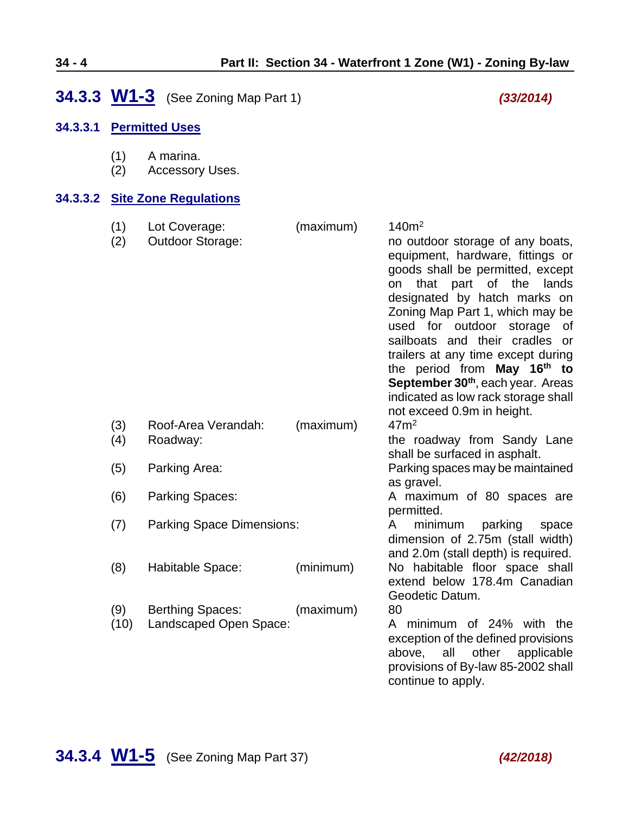# <span id="page-3-0"></span>**34.3.3 W1-3** (See Zoning Map Part 1) *(33/2014)*

### **34.3.3.1 Permitted Uses**

|  | (1) | A marina. |
|--|-----|-----------|
|--|-----|-----------|

(2) Accessory Uses.

#### **34.3.3.2 Site Zone Regulations**

<span id="page-3-1"></span>

| (1)<br>(2)  | Lot Coverage:<br><b>Outdoor Storage:</b>          | (maximum) | 140m <sup>2</sup><br>no outdoor storage of any boats,<br>equipment, hardware, fittings or<br>goods shall be permitted, except<br>that part of the lands<br>on<br>designated by hatch marks on<br>Zoning Map Part 1, which may be<br>used for outdoor storage<br>0f<br>sailboats and their cradles or<br>trailers at any time except during<br>the period from May 16 <sup>th</sup> to<br>September 30 <sup>th</sup> , each year. Areas<br>indicated as low rack storage shall<br>not exceed 0.9m in height. |
|-------------|---------------------------------------------------|-----------|-------------------------------------------------------------------------------------------------------------------------------------------------------------------------------------------------------------------------------------------------------------------------------------------------------------------------------------------------------------------------------------------------------------------------------------------------------------------------------------------------------------|
| (3)<br>(4)  | Roof-Area Verandah:<br>Roadway:                   | (maximum) | 47 <sup> m²</sup><br>the roadway from Sandy Lane                                                                                                                                                                                                                                                                                                                                                                                                                                                            |
| (5)         | Parking Area:                                     |           | shall be surfaced in asphalt.<br>Parking spaces may be maintained                                                                                                                                                                                                                                                                                                                                                                                                                                           |
| (6)         | <b>Parking Spaces:</b>                            |           | as gravel.<br>A maximum of 80 spaces are<br>permitted.                                                                                                                                                                                                                                                                                                                                                                                                                                                      |
| (7)         | <b>Parking Space Dimensions:</b>                  |           | minimum parking<br>A<br>space<br>dimension of 2.75m (stall width)<br>and 2.0m (stall depth) is required.                                                                                                                                                                                                                                                                                                                                                                                                    |
| (8)         | Habitable Space:                                  | (minimum) | No habitable floor space shall<br>extend below 178.4m Canadian<br>Geodetic Datum.                                                                                                                                                                                                                                                                                                                                                                                                                           |
| (9)<br>(10) | <b>Berthing Spaces:</b><br>Landscaped Open Space: | (maximum) | 80<br>minimum of 24% with the<br>A<br>exception of the defined provisions<br>other<br>all<br>applicable<br>above,<br>provisions of By-law 85-2002 shall<br>continue to apply.                                                                                                                                                                                                                                                                                                                               |